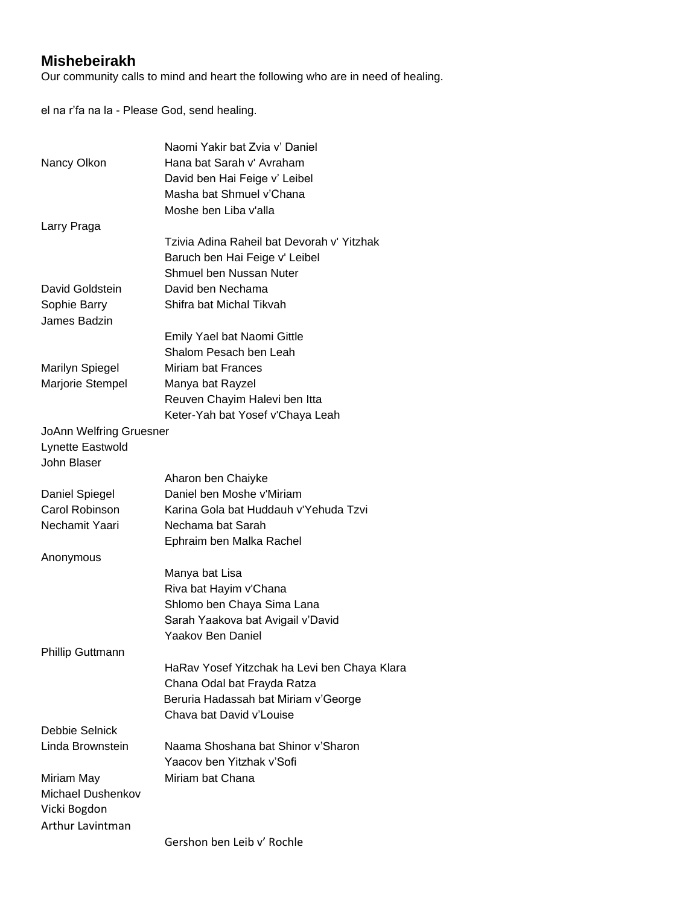## **Mishebeirakh**

Our community calls to mind and heart the following who are in need of healing.

el na r'fa na la - Please God, send healing.

|                                | Naomi Yakir bat Zvia y' Daniel               |
|--------------------------------|----------------------------------------------|
| Nancy Olkon                    | Hana bat Sarah v' Avraham                    |
|                                | David ben Hai Feige v' Leibel                |
|                                | Masha bat Shmuel v'Chana                     |
|                                | Moshe ben Liba v'alla                        |
| Larry Praga                    |                                              |
|                                | Tzivia Adina Raheil bat Devorah v' Yitzhak   |
|                                | Baruch ben Hai Feige v' Leibel               |
|                                | Shmuel ben Nussan Nuter                      |
| David Goldstein                | David ben Nechama                            |
| Sophie Barry                   | Shifra bat Michal Tikvah                     |
| James Badzin                   |                                              |
|                                | Emily Yael bat Naomi Gittle                  |
|                                | Shalom Pesach ben Leah                       |
| <b>Marilyn Spiegel</b>         | Miriam bat Frances                           |
| Marjorie Stempel               | Manya bat Rayzel                             |
|                                | Reuven Chayim Halevi ben Itta                |
|                                | Keter-Yah bat Yosef v'Chaya Leah             |
| <b>JoAnn Welfring Gruesner</b> |                                              |
| Lynette Eastwold               |                                              |
| John Blaser                    |                                              |
|                                | Aharon ben Chaiyke                           |
| Daniel Spiegel                 | Daniel ben Moshe v'Miriam                    |
| Carol Robinson                 | Karina Gola bat Huddauh v'Yehuda Tzvi        |
| Nechamit Yaari                 | Nechama bat Sarah                            |
|                                | Ephraim ben Malka Rachel                     |
| Anonymous                      |                                              |
|                                | Manya bat Lisa                               |
|                                | Riva bat Hayim v'Chana                       |
|                                | Shlomo ben Chaya Sima Lana                   |
|                                | Sarah Yaakova bat Avigail v'David            |
|                                | <b>Yaakov Ben Daniel</b>                     |
| <b>Phillip Guttmann</b>        |                                              |
|                                | HaRav Yosef Yitzchak ha Levi ben Chaya Klara |
|                                | Chana Odal bat Frayda Ratza                  |
|                                | Beruria Hadassah bat Miriam v'George         |
|                                | Chava bat David v'Louise                     |
| Debbie Selnick                 |                                              |
| Linda Brownstein               | Naama Shoshana bat Shinor v'Sharon           |
|                                | Yaacov ben Yitzhak v'Sofi                    |
| Miriam May                     | Miriam bat Chana                             |
| Michael Dushenkov              |                                              |
| Vicki Bogdon                   |                                              |
| Arthur Lavintman               |                                              |
|                                | Gershon ben Leib v' Rochle                   |